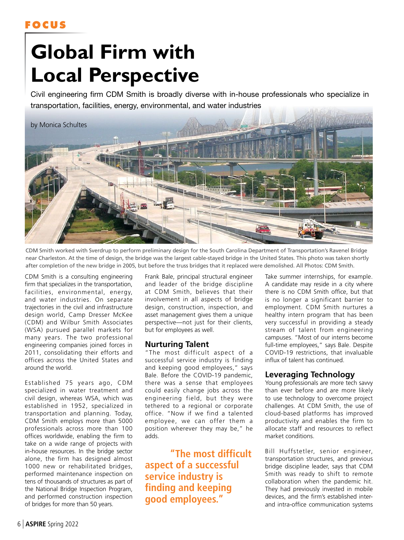## **FOCUS**

# **Global Firm with Local Perspective**

Civil engineering firm CDM Smith is broadly diverse with in-house professionals who specialize in transportation, facilities, energy, environmental, and water industries



CDM Smith worked with Sverdrup to perform preliminary design for the South Carolina Department of Transportation's Ravenel Bridge near Charleston. At the time of design, the bridge was the largest cable-stayed bridge in the United States. This photo was taken shortly after completion of the new bridge in 2005, but before the truss bridges that it replaced were demolished. All Photos: CDM Smith.

CDM Smith is a consulting engineering firm that specializes in the transportation, facilities, environmental, energy, and water industries. On separate trajectories in the civil and infrastructure design world, Camp Dresser McKee (CDM) and Wilbur Smith Associates (WSA) pursued parallel markets for many years. The two professional engineering companies joined forces in 2011, consolidating their efforts and offices across the United States and around the world.

Established 75 years ago, CDM specialized in water treatment and civil design, whereas WSA, which was established in 1952, specialized in transportation and planning. Today, CDM Smith employs more than 5000 professionals across more than 100 offices worldwide, enabling the firm to take on a wide range of projects with in-house resources. In the bridge sector alone, the firm has designed almost 1000 new or rehabilitated bridges, performed maintenance inspection on tens of thousands of structures as part of the National Bridge Inspection Program, and performed construction inspection of bridges for more than 50 years.

Frank Bale, principal structural engineer and leader of the bridge discipline at CDM Smith, believes that their involvement in all aspects of bridge design, construction, inspection, and asset management gives them a unique perspective—not just for their clients, but for employees as well.

## **Nurturing Talent**

"The most difficult aspect of a successful service industry is finding and keeping good employees," says Bale. Before the COVID-19 pandemic, there was a sense that employees could easily change jobs across the engineering field, but they were tethered to a regional or corporate office. "Now if we find a talented employee, we can offer them a position wherever they may be," he adds.

**"The most difficult aspect of a successful service industry is finding and keeping good employees."**

Take summer internships, for example. A candidate may reside in a city where there is no CDM Smith office, but that is no longer a significant barrier to employment. CDM Smith nurtures a healthy intern program that has been very successful in providing a steady stream of talent from engineering campuses. "Most of our interns become full-time employees," says Bale. Despite COVID-19 restrictions, that invaluable influx of talent has continued.

## **Leveraging Technology**

Young professionals are more tech savvy than ever before and are more likely to use technology to overcome project challenges. At CDM Smith, the use of cloud-based platforms has improved productivity and enables the firm to allocate staff and resources to reflect market conditions.

Bill Huffstetler, senior engineer, transportation structures, and previous bridge discipline leader, says that CDM Smith was ready to shift to remote collaboration when the pandemic hit. They had previously invested in mobile devices, and the firm's established interand intra-office communication systems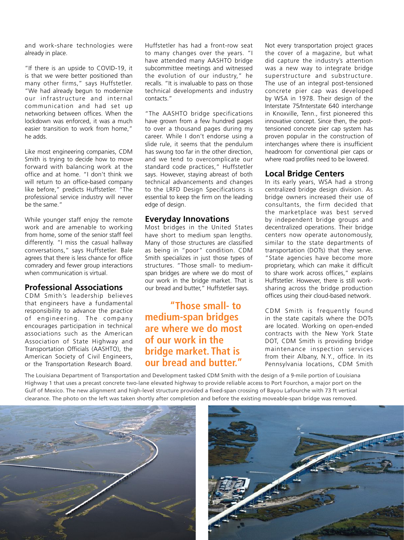and work-share technologies were already in place.

"If there is an upside to COVID-19, it is that we were better positioned than many other firms," says Huffstetler. "We had already begun to modernize our infrastructure and internal communication and had set up networking between offices. When the lockdown was enforced, it was a much easier transition to work from home," he adds.

Like most engineering companies, CDM Smith is trying to decide how to move forward with balancing work at the office and at home. "I don't think we will return to an office-based company like before," predicts Huffstetler. "The professional service industry will never be the same."

While younger staff enjoy the remote work and are amenable to working from home, some of the senior staff feel differently. "I miss the casual hallway conversations," says Huffstetler. Bale agrees that there is less chance for office comradery and fewer group interactions when communication is virtual.

### **Professional Associations**

CDM Smith's leadership believes that engineers have a fundamental responsibility to advance the practice of engineering. The company encourages participation in technical associations such as the American Association of State Highway and Transportation Officials (AASHTO), the American Society of Civil Engineers, or the Transportation Research Board.

Huffstetler has had a front-row seat to many changes over the years. "I have attended many AASHTO bridge subcommittee meetings and witnessed the evolution of our industry," he recalls. "It is invaluable to pass on those technical developments and industry contacts."

"The AASHTO bridge specifications have grown from a few hundred pages to over a thousand pages during my career. While I don't endorse using a slide rule, it seems that the pendulum has swung too far in the other direction, and we tend to overcomplicate our standard code practices," Huffstetler says. However, staying abreast of both technical advancements and changes to the LRFD Design Specifications is essential to keep the firm on the leading edge of design.

#### **Everyday Innovations**

Most bridges in the United States have short to medium span lengths. Many of those structures are classified as being in "poor" condition. CDM Smith specializes in just those types of structures. "Those small- to mediumspan bridges are where we do most of our work in the bridge market. That is our bread and butter," Huffstetler says.

## **"Those small- to medium-span bridges are where we do most of our work in the bridge market. That is our bread and butter."**

Not every transportation project graces the cover of a magazine, but what did capture the industry's attention was a new way to integrate bridge superstructure and substructure. The use of an integral post-tensioned concrete pier cap was developed by WSA in 1978. Their design of the Interstate 75/Interstate 640 interchange in Knoxville, Tenn., first pioneered this innovative concept. Since then, the posttensioned concrete pier cap system has proven popular in the construction of interchanges where there is insufficient headroom for conventional pier caps or where road profiles need to be lowered.

## **Local Bridge Centers**

In its early years, WSA had a strong centralized bridge design division. As bridge owners increased their use of consultants, the firm decided that the marketplace was best served by independent bridge groups and decentralized operations. Their bridge centers now operate autonomously, similar to the state departments of transportation (DOTs) that they serve. "State agencies have become more proprietary, which can make it difficult to share work across offices," explains Huffstetler. However, there is still worksharing across the bridge production offices using their cloud-based network.

CDM Smith is frequently found in the state capitals where the DOTs are located. Working on open-ended contracts with the New York State DOT, CDM Smith is providing bridge maintenance inspection services from their Albany, N.Y., office. In its Pennsylvania locations, CDM Smith

The Louisiana Department of Transportation and Development tasked CDM Smith with the design of a 9-mile portion of Louisiana Highway 1 that uses a precast concrete two-lane elevated highway to provide reliable access to Port Fourchon, a major port on the Gulf of Mexico. The new alignment and high-level structure provided a fixed-span crossing of Bayou Lafourche with 73 ft vertical clearance. The photo on the left was taken shortly after completion and before the existing moveable-span bridge was removed.



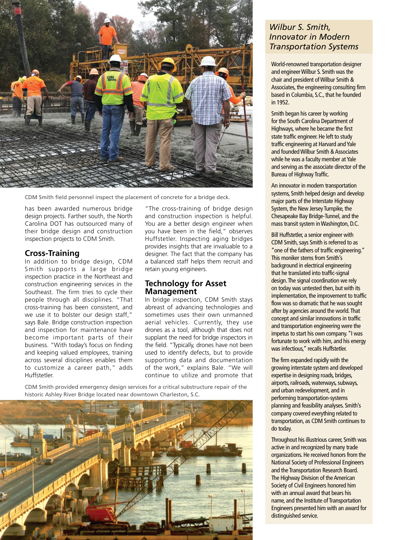

CDM Smith field personnel inspect the placement of concrete for a bridge deck.

has been awarded numerous bridge design projects. Farther south, the North Carolina DOT has outsourced many of their bridge design and construction inspection projects to CDM Smith.

### **Cross-Training**

In addition to bridge design, CDM Smith supports a large bridge inspection practice in the Northeast and construction engineering services in the Southeast. The firm tries to cycle their people through all disciplines. "That cross-training has been consistent, and we use it to bolster our design staff," says Bale. Bridge construction inspection and inspection for maintenance have become important parts of their business. "With today's focus on finding and keeping valued employees, training across several disciplines enables them to customize a career path," adds Huffstetler.

"The cross-training of bridge design and construction inspection is helpful. You are a better design engineer when you have been in the field," observes Huffstetler. Inspecting aging bridges provides insights that are invaluable to a designer. The fact that the company has a balanced staff helps them recruit and retain young engineers.

### **Technology for Asset Management**

In bridge inspection, CDM Smith stays abreast of advancing technologies and sometimes uses their own unmanned aerial vehicles. Currently, they use drones as a tool, although that does not supplant the need for bridge inspectors in the field. "Typically, drones have not been used to identify defects, but to provide supporting data and documentation of the work," explains Bale. "We will continue to utilize and promote that

CDM Smith provided emergency design services for a critical substructure repair of the historic Ashley River Bridge located near downtown Charleston, S.C.



## *Wilbur S. Smith, Innovator in Modern Transportation Systems*

World-renowned transportation designer and engineer Wilbur S. Smith was the chair and president of Wilbur Smith & Associates, the engineering consulting firm based in Columbia, S.C., that he founded in 1952.

Smith began his career by working for the South Carolina Department of Highways, where he became the first state traffic engineer. He left to study traffic engineering at Harvard and Yale and founded Wilbur Smith & Associates while he was a faculty member at Yale and serving as the associate director of the Bureau of Highway Traffic.

An innovator in modern transportation systems, Smith helped design and develop major parts of the Interstate Highway System, the New Jersey Turnpike, the Chesapeake Bay Bridge-Tunnel, and the mass transit system in Washington, D.C.

Bill Huffstetler, a senior engineer with CDM Smith, says Smith is referred to as "one of the fathers of traffic engineering." This moniker stems from Smith's background in electrical engineering that he translated into traffic-signal design. The signal coordination we rely on today was untested then, but with its implementation, the improvement to traffic flow was so dramatic that he was sought after by agencies around the world. That concept and similar innovations in traffic and transportation engineering were the impetus to start his own company. "I was fortunate to work with him, and his energy was infectious," recalls Huffstetler.

The firm expanded rapidly with the growing interstate system and developed expertise in designing roads, bridges, airports, railroads, waterways, subways, and urban redevelopment, and in performing transportation-systems planning and feasibility analyses. Smith's company covered everything related to transportation, as CDM Smith continues to do today.

Throughout his illustrious career, Smith was active in and recognized by many trade organizations. He received honors from the National Society of Professional Engineers and the Transportation Research Board. The Highway Division of the American Society of Civil Engineers honored him with an annual award that bears his name, and the Institute of Transportation Engineers presented him with an award for distinguished service.